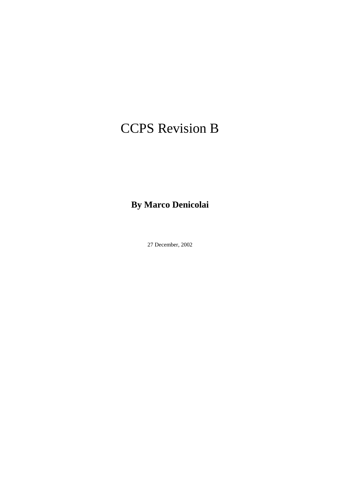# CCPS Revision B

**By Marco Denicolai** 

27 December, 2002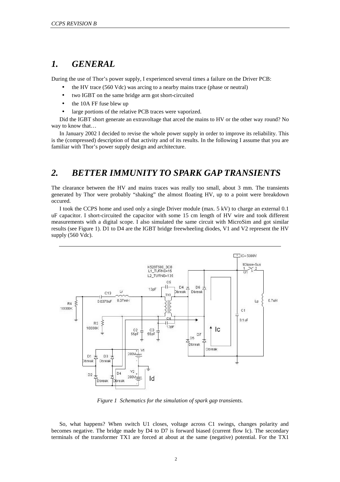## *1. GENERAL*

During the use of Thor's power supply, I experienced several times a failure on the Driver PCB:

- the HV trace (560 Vdc) was arcing to a nearby mains trace (phase or neutral)
	- two IGBT on the same bridge arm got short-circuited
	- the 10A FF fuse blew up
	- large portions of the relative PCB traces were vaporized.

Did the IGBT short generate an extravoltage that arced the mains to HV or the other way round? No way to know that…

In January 2002 I decided to revise the whole power supply in order to improve its reliability. This is the (compressed) description of that activity and of its results. In the following I assume that you are familiar with Thor's power supply design and architecture.

## *2. BETTER IMMUNITY TO SPARK GAP TRANSIENTS*

The clearance between the HV and mains traces was really too small, about 3 mm. The transients generated by Thor were probably "shaking" the almost floating HV, up to a point were breakdown occured.

I took the CCPS home and used only a single Driver module (max. 5 kV) to charge an external 0.1 uF capacitor. I short-circuited the capacitor with some 15 cm length of HV wire and took different measurements with a digital scope. I also simulated the same circuit with MicroSim and got similar results (see Figure 1). D1 to D4 are the IGBT bridge freewheeling diodes, V1 and V2 represent the HV supply (560 Vdc).



*Figure 1 Schematics for the simulation of spark gap transients.* 

So, what happens? When switch U1 closes, voltage across C1 swings, changes polarity and becomes negative. The bridge made by D4 to D7 is forward biased (current flow Ic). The secondary terminals of the transformer TX1 are forced at about at the same (negative) potential. For the TX1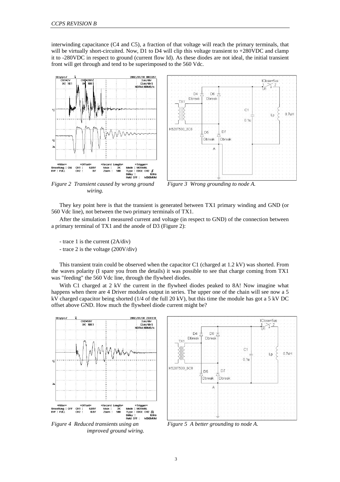interwinding capacitance (C4 and C5), a fraction of that voltage will reach the primary terminals, that will be virtually short-circuited. Now, D1 to D4 will clip this voltage transient to +280VDC and clamp it to -280VDC in respect to ground (current flow Id). As these diodes are not ideal, the initial transient front will get through and tend to be superimposed to the 560 Vdc.





*Figure 2 Transient caused by wrong ground wiring.* 



They key point here is that the transient is generated between TX1 primary winding and GND (or 560 Vdc line), not between the two primary terminals of TX1.

After the simulation I measured current and voltage (in respect to GND) of the connection between a primary terminal of TX1 and the anode of D3 (Figure 2):

- trace 1 is the current (2A/div)

- trace 2 is the voltage (200V/div)

This transient train could be observed when the capacitor C1 (charged at 1.2 kV) was shorted. From the waves polarity (I spare you from the details) it was possible to see that charge coming from TX1 was "feeding" the 560 Vdc line, through the flywheel diodes.

With C1 charged at 2 kV the current in the flywheel diodes peaked to 8A! Now imagine what happens when there are 4 Driver modules output in series. The upper one of the chain will see now a 5 kV charged capacitor being shorted (1/4 of the full 20 kV), but this time the module has got a 5 kV DC offset above GND. How much the flywheel diode current might be?



*Figure 4 Reduced transients using an improved ground wiring.* 



*Figure 5 A better grounding to node A.*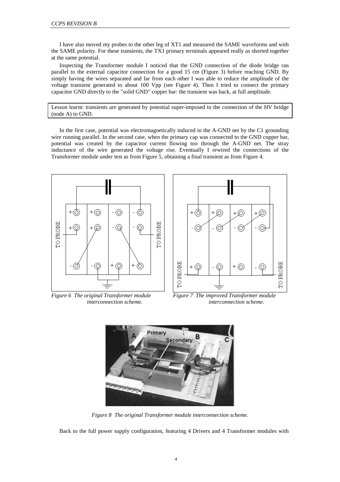I have also moved my probes to the other leg of XT1 and measured the SAME waveforms and with the SAME polarity. For these transients, the TX1 primary terminals appeared really as shorted together at the same potential.

Inspecting the Transformer module I noticed that the GND connection of the diode bridge ran parallel to the external capacitor connection for a good 15 cm (Figure 3) before reaching GND. By simply having the wires separated and far from each other I was able to reduce the amplitude of the voltage transient generated to about 100 Vpp (see Figure 4). Then I tried to connect the primary capacitor GND directly to the "solid GND" copper bar: the transient was back, at full amplitude.

Lesson learnt: transients are generated by potential super-imposed to the connection of the HV bridge (node A) to GND.

In the first case, potential was electromagnetically induced in the A-GND net by the C1 grounding wire running parallel. In the second case, when the primary cap was connected to the GND copper bar, potential was created by the capacitor current flowing too through the A-GND net. The stray inductance of the wire generated the voltage rise. Eventually I rewired the connections of the Transformer module under test as from Figure 5, obtaining a final transient as from Figure 4.





*Figure 6 The original Transformer module interconnection scheme.* 

*Figure 7 The improved Transformer module interconnection scheme.* 



*Figure 8 The original Transformer module interconnection scheme.* 

Back to the full power supply configuration, featuring 4 Drivers and 4 Transformer modules with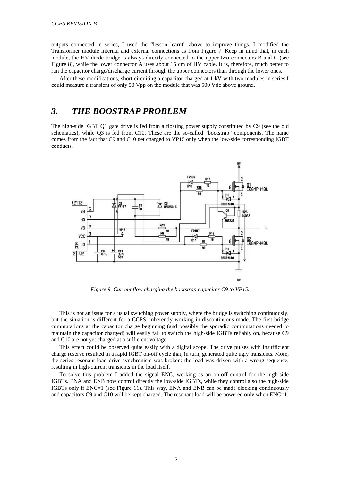outputs connected in series, I used the "lesson learnt" above to improve things. I modified the Transformer module internal and external connections as from Figure 7. Keep in mind that, in each module, the HV diode bridge is always directly connected to the upper two connectors B and C (see Figure 8), while the lower connector A uses about 15 cm of HV cable. It is, therefore, much better to run the capacitor charge/discharge current through the upper connectors than through the lower ones.

After these modifications, short-circuiting a capacitor charged at 1 kV with two modules in series I could measure a transient of only 50 Vpp on the module that was 500 Vdc above ground.

## *3. THE BOOSTRAP PROBLEM*

The high-side IGBT Q1 gate drive is fed from a floating power supply constituted by C9 (see the old schematics), while Q3 is fed from C10. These are the so-called "bootstrap" components. The name comes from the fact that C9 and C10 get charged to VP15 only when the low-side corresponding IGBT conducts.



*Figure 9 Current flow charging the bootstrap capacitor C9 to VP15.* 

This is not an issue for a usual switching power supply, where the bridge is switching continuously, but the situation is different for a CCPS, inherently working in discontinuous mode. The first bridge commutations at the capacitor charge beginning (and possibly the sporadic commutations needed to maintain the capacitor charged) will easily fail to switch the high-side IGBTs reliably on, because C9 and C10 are not yet charged at a sufficient voltage.

This effect could be observed quite easily with a digital scope. The drive pulses with insufficient charge reserve resulted in a rapid IGBT on-off cycle that, in turn, generated quite ugly transients. More, the series resonant load drive synchronism was broken: the load was driven with a wrong sequence, resulting in high-current transients in the load itself.

To solve this problem I added the signal ENC, working as an on-off control for the high-side IGBTs. ENA and ENB now control directly the low-side IGBTs, while they control also the high-side IGBTs only if ENC=1 (see Figure 11). This way, ENA and ENB can be made clocking continuously and capacitors C9 and C10 will be kept charged. The resonant load will be powered only when ENC=1.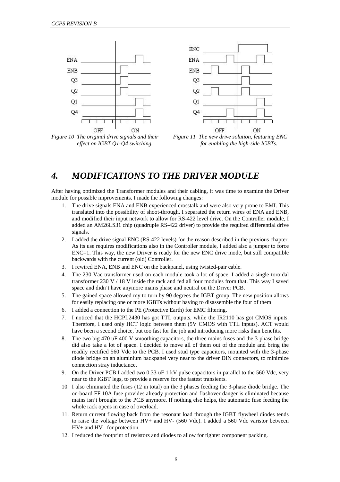

*effect on IGBT Q1-Q4 switching.* 



## *4. MODIFICATIONS TO THE DRIVER MODULE*

After having optimized the Transformer modules and their cabling, it was time to examine the Driver module for possible improvements. I made the following changes:

- 1. The drive signals ENA and ENB experienced crosstalk and were also very prone to EMI. This translated into the possibility of shoot-through. I separated the return wires of ENA and ENB, and modified their input network to allow for RS-422 level drive. On the Controller module, I added an AM26LS31 chip (quadruple RS-422 driver) to provide the required differential drive signals.
- 2. I added the drive signal ENC (RS-422 levels) for the reason described in the previous chapter. As its use requires modifications also in the Controller module, I added also a jumper to force ENC=1. This way, the new Driver is ready for the new ENC drive mode, but still compatible backwards with the current (old) Controller.
- 3. I rewired ENA, ENB and ENC on the backpanel, using twisted-pair cable.
- 4. The 230 Vac transformer used on each module took a lot of space. I added a single toroidal transformer 230 V / 18 V inside the rack and fed all four modules from that. This way I saved space and didn't have anymore mains phase and neutral on the Driver PCB.
- 5. The gained space allowed my to turn by 90 degrees the IGBT group. The new position allows for easily replacing one or more IGBTs without having to disassemble the four of them
- 6. I added a connection to the PE (Protective Earth) for EMC filtering.
- 7. I noticed that the HCPL2430 has got TTL outputs, while the IR2110 has got CMOS inputs. Therefore, I used only HCT logic between them (5V CMOS with TTL inputs). ACT would have been a second choice, but too fast for the job and introducing more risks than benefits.
- 8. The two big 470 uF 400 V smoothing capacitors, the three mains fuses and the 3-phase bridge did also take a lot of space. I decided to move all of them out of the module and bring the readily rectified 560 Vdc to the PCB. I used stud type capacitors, mounted with the 3-phase diode bridge on an aluminium backpanel very near to the driver DIN connectors, to minimize connection stray inductance.
- 9. On the Driver PCB I added two 0.33 uF 1 kV pulse capacitors in parallel to the 560 Vdc, very near to the IGBT legs, to provide a reserve for the fastest transients.
- 10. I also eliminated the fuses (12 in total) on the 3 phases feeding the 3-phase diode bridge. The on-board FF 10A fuse provides already protection and flashover danger is eliminated because mains isn't brought to the PCB anymore. If nothing else helps, the automatic fuse feeding the whole rack opens in case of overload.
- 11. Return current flowing back from the resonant load through the IGBT flywheel diodes tends to raise the voltage between HV+ and HV- (560 Vdc). I added a 560 Vdc varistor between HV+ and HV– for protection.
- 12. I reduced the footprint of resistors and diodes to allow for tighter component packing.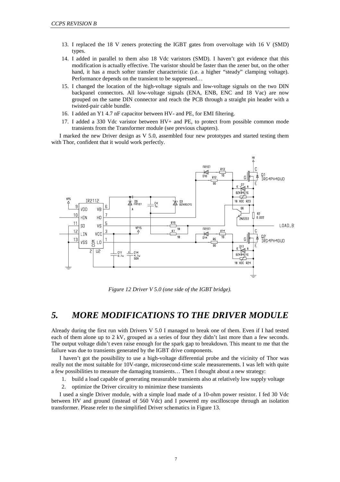- 13. I replaced the 18 V zeners protecting the IGBT gates from overvoltage with 16 V (SMD) types.
- 14. I added in parallel to them also 18 Vdc varistors (SMD). I haven't got evidence that this modification is actually effective. The varistor should be faster than the zener but, on the other hand, it has a much softer transfer characteristic (i.e. a higher "steady" clamping voltage). Performance depends on the transient to be suppressed…
- 15. I changed the location of the high-voltage signals and low-voltage signals on the two DIN backpanel connectors. All low-voltage signals (ENA, ENB, ENC and 18 Vac) are now grouped on the same DIN connector and reach the PCB through a straight pin header with a twisted-pair cable bundle.
- 16. I added an Y1 4.7 nF capacitor between HV- and PE, for EMI filtering.
- 17. I added a 330 Vdc varistor between HV+ and PE, to protect from possible common mode transients from the Transformer module (see previous chapters).

I marked the new Driver design as V 5.0, assembled four new prototypes and started testing them with Thor, confident that it would work perfectly.



*Figure 12 Driver V 5.0 (one side of the IGBT bridge).* 

## *5. MORE MODIFICATIONS TO THE DRIVER MODULE*

Already during the first run with Drivers V 5.0 I managed to break one of them. Even if I had tested each of them alone up to 2 kV, grouped as a series of four they didn't last more than a few seconds. The output voltage didn't even raise enough for the spark gap to breakdown. This meant to me that the failure was due to transients generated by the IGBT drive components.

I haven't got the possibility to use a high-voltage differential probe and the vicinity of Thor was really not the most suitable for 10V-range, microsecond-time scale measurements. I was left with quite a few possibilities to measure the damaging transients… Then I thought about a new strategy:

- 1. build a load capable of generating measurable transients also at relatively low supply voltage
- 2. optimize the Driver circuitry to minimize these transients

I used a single Driver module, with a simple load made of a 10-ohm power resistor. I fed 30 Vdc between HV and ground (instead of 560 Vdc) and I powered my oscilloscope through an isolation transformer. Please refer to the simplified Driver schematics in Figure 13.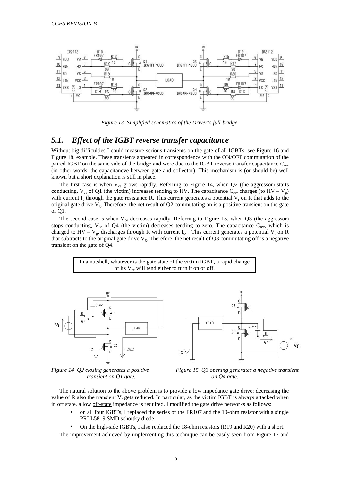

*Figure 13 Simplified schematics of the Driver's full-bridge.* 

### *5.1. Effect of the IGBT reverse transfer capacitance*

Without big difficulties I could measure serious transients on the gate of all IGBTs: see Figure 16 and Figure 18, example. These transients appeared in correspondence with the ON/OFF commutation of the paired IGBT on the same side of the bridge and were due to the IGBT reverse transfer capacitance C<sub>rev</sub> (in other words, the capacitancve between gate and collector). This mechanism is (or should be) well known but a short explanation is still in place.

The first case is when  $V_{ce}$  grows rapidly. Referring to Figure 14, when Q2 (the aggressor) starts conducting,  $V_{ce}$  of Q1 (the victim) increases tending to HV. The capacitance  $C_{rev}$  charges (to HV – V<sub>g</sub>) with current I<sub>c</sub> through the gate resistance R. This current generates a potential  $V_r$  on R that adds to the original gate drive  $V_g$ . Therefore, the net result of Q2 commutating on is a positive transient on the gate of Q1.

The second case is when  $V_{ce}$  decreases rapidly. Referring to Figure 15, when Q3 (the aggressor) stops conducting,  $V_{ce}$  of Q4 (the victim) decreases tending to zero. The capacitance  $C_{rev}$ , which is charged to HV –  $V_g$ , discharges through R with current I<sub>c</sub>. . This current generates a potential  $V_r$  on R that subtracts to the original gate drive  $V_g$ . Therefore, the net result of Q3 commutating off is a negative transient on the gate of Q4.

> In a nutshell, whatever is the gate state of the victim IGBT, a rapid change of its  $V_{ce}$  will tend either to turn it on or off.





*Figure 14 Q2 closing generates a positive transient on Q1 gate.* 



The natural solution to the above problem is to provide a low impedance gate drive: decreasing the value of R also the transient  $V_r$  gets reduced. In particular, as the victim IGBT is always attacked when in off state, a low off-state impedance is required. I modified the gate drive networks as follows:

- on all four IGBTs, I replaced the series of the FR107 and the 10-ohm resistor with a single PRLL5819 SMD schottky diode.
- On the high-side IGBTs, I also replaced the 18-ohm resistors (R19 and R20) with a short.

The improvement achieved by implementing this technique can be easily seen from Figure 17 and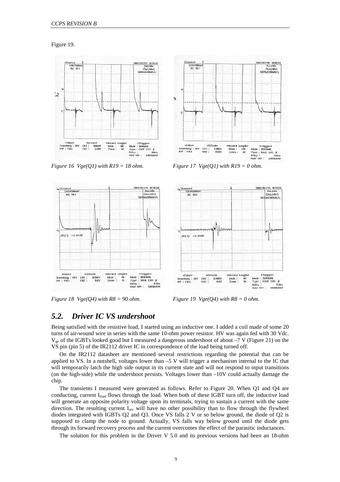Figure 19.



*Figure 16 Vge(Q1) with R19 = 18 ohm.* Figure 17 Vge(Q1) with R19 = 0 ohm.



2/07/05 19:36:5<br>- Sus/div

:::::::::/div<br>| (Sus/div)<br>| NORM:200MS/

pped<br>CITI=500m'

00 100



*Figure 18 Vge(O4) with R8 = 90 ohm. Figure 19 Vge(O4) with R8 = 0 ohm.* 



### *5.2. Driver IC VS undershoot*

Being satisfied with the resistive load, I started using an inductive one. I added a coil made of some 20 turns of air-wound wire in series with the same 10-ohm power resistor. HV was again fed with 30 Vdc.  $V_{ge}$  of the IGBTs looked good but I measured a dangerous undershoot of about  $-7$  V (Figure 21) on the VS pin (pin 5) of the IR2112 driver IC in correspondence of the load being turned off.

On the IR2112 datasheet are mentioned several restrictions regarding the potential that can be applied to VS. In a nutshell, voltages lower than  $-5$  V will trigger a mechanism internal to the IC that will temporarily latch the high side output in its current state and will not respond to input transitions (on the high-side) while the undershoot persists. Voltages lower than  $-10V$  could actually damage the chip.

The transients I measured were generated as follows. Refer to Figure 20. When Q1 and Q4 are conducting, current  $I_{load}$  flows through the load. When both of these IGBT turn off, the inductive load will generate an opposite polarity voltage upon its terminals, trying to sustain a current with the same direction. The resulting current I<sub>rev</sub> will have no other possibility than to flow through the flywheel diodes integrated with IGBTs Q2 and Q3. Once VS falls 2 V or so below ground, the diode of Q2 is supposed to clamp the node to ground. Actually, VS falls way below ground until the diode gets through its forward recovery process and the current overcomes the effect of the parasitic inductances.

The solution for this problem in the Driver V 5.0 and its previous versions had been an 18-ohm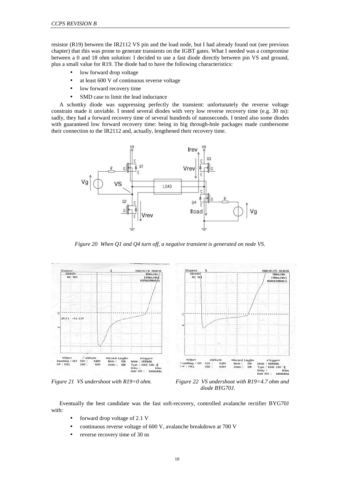resistor (R19) between the IR2112 VS pin and the load node, but I had already found out (see previous chapter) that this was prone to generate transients on the IGBT gates. What I needed was a compromise between a 0 and 18 ohm solution: I decided to use a fast diode directly between pin VS and ground, plus a small value for R19. The diode had to have the following characteristics:

- low forward drop voltage
- at least 600 V of continuous reverse voltage
- low forward recovery time
- SMD case to limit the lead inductance

A schottky diode was suppressing perfectly the transient: unfortunately the reverse voltage constrain made it unviable. I tested several diodes with very low reverse recovery time (e.g. 30 ns): sadly, they had a forward recovery time of several hundreds of nanoseconds. I tested also some diodes with guaranteed low forward recovery time: being in big through-hole packages made cumbersome their connection to the IR2112 and, actually, lengthened their recovery time.



*Figure 20 When Q1 and Q4 turn off, a negative transient is generated on node VS.* 



*Figure 21 VS undershoot with R19=0 ohm. Figure 22 VS undershoot with R19=4.7 ohm and diode BYG70J.* 

Eventually the best candidate was the fast soft-recovery, controlled avalanche rectifier BYG70J with:

- forward drop voltage of 2.1 V
- continuous reverse voltage of 600 V, avalanche breakdown at 700 V
- reverse recovery time of 30 ns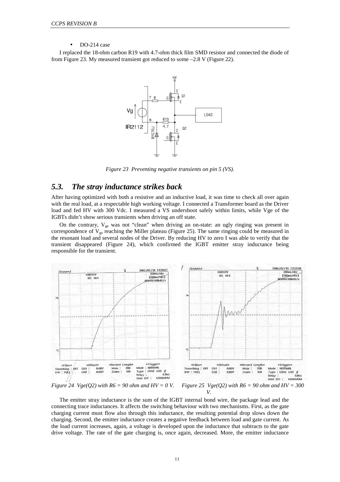#### DO-214 case

I replaced the 18-ohm carbon R19 with 4.7-ohm thick film SMD resistor and connected the diode of from Figure 23. My measured transient got reduced to some –2.8 V (Figure 22).



*Figure 23 Preventing negative transients on pin 5 (VS).* 

## *5.3. The stray inductance strikes back*

After having optimized with both a resistive and an inductive load, it was time to check all over again with the real load, at a respectable high working voltage. I connected a Transformer board as the Driver load and fed HV with 300 Vdc. I measured a VS undershoot safely within limits, while Vge of the IGBTs didn't show serious transients when driving an off state.

On the contrary,  $V_{ge}$  was not "clean" when driving an on-state: an ugly ringing was present in correspondence of  $V_{ge}$  reaching the Miller plateau (Figure 25). The same ringing could be measured in the resonant load and several nodes of the Driver. By reducing HV to zero I was able to verify that the transient disappeared (Figure 24), which confirmed the IGBT emitter stray inductance being responsible for the transient.



*Figure 24 Vge(Q2) with R6 = 90 ohm and HV = 0 V. Figure 25 Vge(Q2) with R6 = 90 ohm and HV = 300 V.* 

The emitter stray inductance is the sum of the IGBT internal bond wire, the package lead and the connecting trace inductances. It affects the switching behaviour with two mechanisms. First, as the gate charging current must flow also through this inductance, the resulting potential drop slows down the charging. Second, the emitter inductance creates a negative feedback between load and gate current. As the load current increases, again, a voltage is developed upon the inductance that subtracts to the gate drive voltage. The rate of the gate charging is, once again, decreased. More, the emitter inductance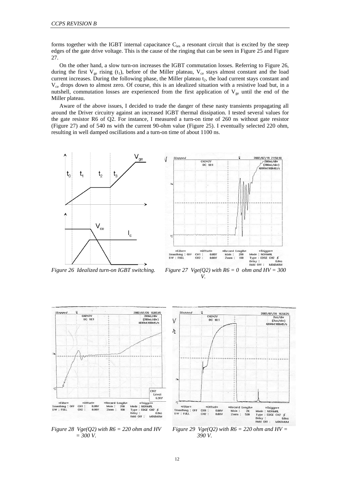forms together with the IGBT internal capacitance  $C_{\text{ies}}$  a resonant circuit that is excited by the steep edges of the gate drive voltage. This is the cause of the ringing that can be seen in Figure 25 and Figure 27.

On the other hand, a slow turn-on increases the IGBT commutation losses. Referring to Figure 26, during the first  $V_{ge}$  rising (t<sub>1</sub>), before of the Miller plateau,  $V_{ce}$  stays almost constant and the load current increases. During the following phase, the Miller plateau  $t<sub>2</sub>$ , the load current stays constant and  $V_{ce}$  drops down to almost zero. Of course, this is an idealized situation with a resistive load but, in a nutshell, commutation losses are experienced from the first application of  $V_{ge}$  until the end of the Miller plateau.

Aware of the above issues, I decided to trade the danger of these nasty transients propagating all around the Driver circuitry against an increased IGBT thermal dissipation. I tested several values for the gate resistor R6 of Q2. For instance, I measured a turn-on time of 260 ns without gate resistor (Figure 27) and of 540 ns with the current 90-ohm value (Figure 25). I eventually selected 220 ohm, resulting in well damped oscillations and a turn-on time of about 1100 ns.









*Figure 28 Vge(Q2) with R6 = 220 ohm and HV = 300 V.* 



*Figure 29 Vge(Q2) with R6 = 220 ohm and HV = 390 V.*